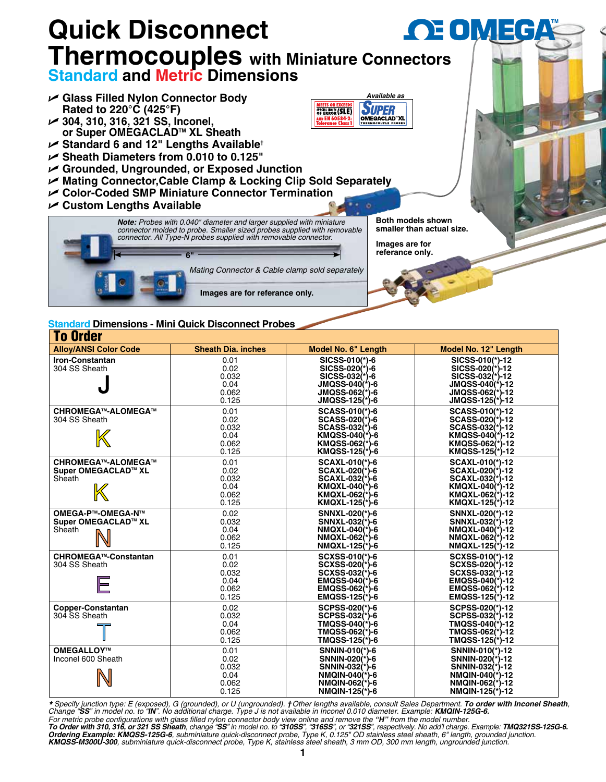

| TO UTUCI                                                   |                                                 |                                                                                                                                |                                                                                                                              |  |  |  |  |  |
|------------------------------------------------------------|-------------------------------------------------|--------------------------------------------------------------------------------------------------------------------------------|------------------------------------------------------------------------------------------------------------------------------|--|--|--|--|--|
| <b>Alloy/ANSI Color Code</b>                               | <b>Sheath Dia. inches</b>                       | Model No. 6" Length                                                                                                            | Model No. 12" Length                                                                                                         |  |  |  |  |  |
| <b>Iron-Constantan</b><br>304 SS Sheath                    | 0.01<br>0.02<br>0.032<br>0.04<br>0.062<br>0.125 | SICSS-010(*)-6<br>SICSS-020 <sup>(*)</sup> -6<br>$SICSS-032(*)-6$<br><b>JMQSS-040(*)-6</b><br>JMQSS-062(*)-6<br>JMQSS-125(*)-6 | SICSS-010(*)-12<br>SICSS-020(*)-12<br>SICSS-032(*)-12<br>JMQSS-040(*)-12<br>JMQSS-062(*)-12<br>JMQSS-125(*)-12               |  |  |  |  |  |
| <b>CHROMEGA™-ALOMEGA™</b><br>304 SS Sheath                 | 0.01<br>0.02<br>0.032<br>0.04<br>0.062<br>0.125 | <b>SCASS-010(*)-6</b><br>SCASS-020(*)-6<br>SCASS-032(*)-6<br>KMQSS-040(*)-6<br>KMQSS-062(*)-6<br>KMQSS-125(*)-6                | SCASS-010(*)-12<br>SCASS-020(*)-12<br>SCASS-032(*)-12<br>KMQSS-040(*)-12<br>KMQSS-062(*)-12<br>KMQSS-125(*)-12               |  |  |  |  |  |
| <b>CHROMEGA™-ALOMEGA™</b><br>Super OMEGACLAD™ XL<br>Sheath | 0.01<br>0.02<br>0.032<br>0.04<br>0.062<br>0.125 | <b>SCAXL-010(*)-6</b><br><b>SCAXL-020(*)-6</b><br>SCAXL-032(*)-6<br>KMQXL-040(*)-6<br>KMQXL-062(*)-6<br>KMQXL-125(*)-6         | <b>SCAXL-010(*)-12</b><br><b>SCAXL-020(*)-12</b><br>SCAXL-032(*)-12<br>KMQXL-040(*)-12<br>KMQXL-062(*)-12<br>KMQXL-125(*)-12 |  |  |  |  |  |
| OMEGA-P™-OMEGA-N™<br>Super OMEGACLAD™ XL<br>Sheath         | 0.02<br>0.032<br>0.04<br>0.062<br>0.125         | SNNXL-020(*)-6<br>SNNXL-032(*)-6<br>NMQXL-040(*)-6<br>NMQXL-062(*)-6<br>NMQXL-125(*)-6                                         | SNNXL-020(*)-12<br>SNNXL-032(*)-12<br>NMQXL-040(*)-12<br>NMQXL-062(*)-12<br>NMQXL-125(*)-12                                  |  |  |  |  |  |
| <b>CHROMEGA™-Constantan</b><br>304 SS Sheath               | 0.01<br>0.02<br>0.032<br>0.04<br>0.062<br>0.125 | SCXSS-010(*)-6<br>SCXSS-020(*)-6<br>SCXSS-032(*)-6<br>$EMQSS-040(*)-6$<br>EMQSS-062(*)-6<br>EMQSS-125(*)-6                     | SCXSS-010(*)-12<br>SCXSS-020(*)-12<br>SCXSS-032(*)-12<br>$EMQSS-040(*)-12$<br>EMQSS-062(*)-12<br>EMQSS-125(*)-12             |  |  |  |  |  |
| <b>Copper-Constantan</b><br>304 SS Sheath                  | 0.02<br>0.032<br>0.04<br>0.062<br>0.125         | SCPSS-020(*)-6<br>SCPSS-032(*)-6<br>TMQSS-040(*)-6<br>TMQSS-062(*)-6<br>TMQSS-125(*)-6                                         | SCPSS-020(*)-12<br>SCPSS-032(*)-12<br>TMQSS-040(*)-12<br>TMQSS-062(*)-12<br>TMQSS-125(*)-12                                  |  |  |  |  |  |
| OMEGALLOY™<br>Inconel 600 Sheath                           | 0.01<br>0.02<br>0.032<br>0.04<br>0.062<br>0.125 | SNNIN-010(*)-6<br>SNNIN-020(*)-6<br>SNNIN-032(*)-6<br>NMQIN-040(*)-6<br>NMQIN-062(*)-6<br>NMQIN-125(*)-6                       | SNNIN-010(*)-12<br>SNNIN-020(*)-12<br>SNNIN-032(*)-12<br>NMQIN-040(*)-12<br>NMQIN-062(*)-12<br>NMQIN-125(*)-12               |  |  |  |  |  |

\* Specify junction type: E (exposed), G (grounded), or U (ungrounded). †Other lengths available, consult Sales Department. To order with Inconel Sheath,<br>Change "SS" in model no. to "IN". No additional charge. Type J is not

For metric probe configurations with glass filled nylon connector body view online and remove the "**H**" from the model number.<br>**To Order with 310, 316, or 321 SS Sheath**, change "**SS**" in model no. to "**310SS**", "316SS", o *KMQSS-M300U-300, subminiature quick-disconnect probe, Type K, stainless steel sheath, 3 mm OD, 300 mm length, ungrounded junction.*